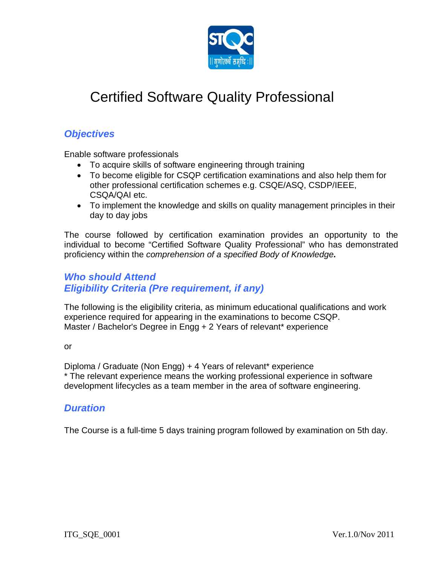

# Certified Software Quality Professional

## *Objectives*

Enable software professionals

- To acquire skills of software engineering through training
- To become eligible for CSQP certification examinations and also help them for other professional certification schemes e.g. CSQE/ASQ, CSDP/IEEE, CSQA/QAI etc.
- To implement the knowledge and skills on quality management principles in their day to day jobs

The course followed by certification examination provides an opportunity to the individual to become "Certified Software Quality Professional" who has demonstrated proficiency within the *comprehension of a specified Body of Knowledge.*

## *Who should Attend Eligibility Criteria (Pre requirement, if any)*

The following is the eligibility criteria, as minimum educational qualifications and work experience required for appearing in the examinations to become CSQP. Master / Bachelor's Degree in Engg + 2 Years of relevant\* experience

or

Diploma / Graduate (Non Engg) + 4 Years of relevant\* experience \* The relevant experience means the working professional experience in software development lifecycles as a team member in the area of software engineering.

#### *Duration*

The Course is a full-time 5 days training program followed by examination on 5th day.